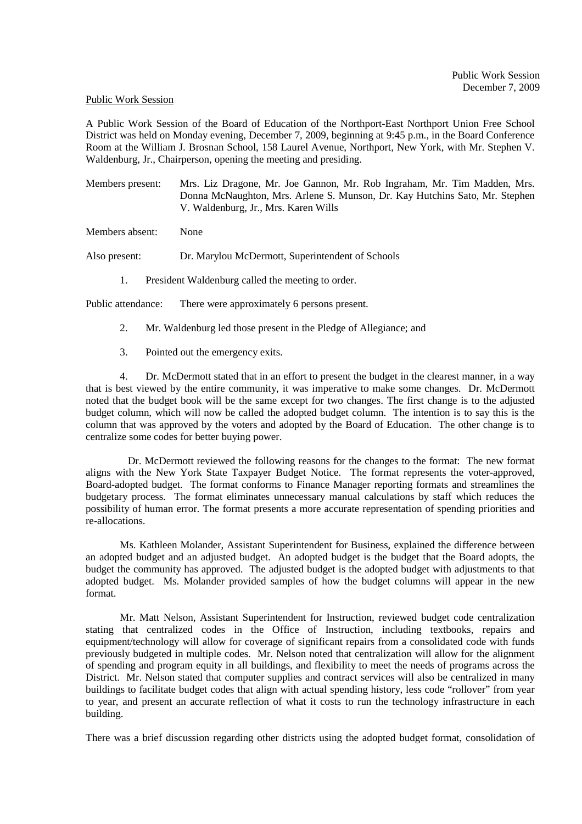## Public Work Session

A Public Work Session of the Board of Education of the Northport-East Northport Union Free School District was held on Monday evening, December 7, 2009, beginning at 9:45 p.m., in the Board Conference Room at the William J. Brosnan School, 158 Laurel Avenue, Northport, New York, with Mr. Stephen V. Waldenburg, Jr., Chairperson, opening the meeting and presiding.

Members present: Mrs. Liz Dragone, Mr. Joe Gannon, Mr. Rob Ingraham, Mr. Tim Madden, Mrs. Donna McNaughton, Mrs. Arlene S. Munson, Dr. Kay Hutchins Sato, Mr. Stephen V. Waldenburg, Jr., Mrs. Karen Wills

Members absent: None

Also present: Dr. Marylou McDermott, Superintendent of Schools

1. President Waldenburg called the meeting to order.

Public attendance: There were approximately 6 persons present.

- 2. Mr. Waldenburg led those present in the Pledge of Allegiance; and
- 3. Pointed out the emergency exits.

4. Dr. McDermott stated that in an effort to present the budget in the clearest manner, in a way that is best viewed by the entire community, it was imperative to make some changes. Dr. McDermott noted that the budget book will be the same except for two changes. The first change is to the adjusted budget column, which will now be called the adopted budget column. The intention is to say this is the column that was approved by the voters and adopted by the Board of Education. The other change is to centralize some codes for better buying power.

 Dr. McDermott reviewed the following reasons for the changes to the format: The new format aligns with the New York State Taxpayer Budget Notice. The format represents the voter-approved, Board-adopted budget. The format conforms to Finance Manager reporting formats and streamlines the budgetary process. The format eliminates unnecessary manual calculations by staff which reduces the possibility of human error. The format presents a more accurate representation of spending priorities and re-allocations.

Ms. Kathleen Molander, Assistant Superintendent for Business, explained the difference between an adopted budget and an adjusted budget. An adopted budget is the budget that the Board adopts, the budget the community has approved. The adjusted budget is the adopted budget with adjustments to that adopted budget. Ms. Molander provided samples of how the budget columns will appear in the new format.

Mr. Matt Nelson, Assistant Superintendent for Instruction, reviewed budget code centralization stating that centralized codes in the Office of Instruction, including textbooks, repairs and equipment/technology will allow for coverage of significant repairs from a consolidated code with funds previously budgeted in multiple codes. Mr. Nelson noted that centralization will allow for the alignment of spending and program equity in all buildings, and flexibility to meet the needs of programs across the District. Mr. Nelson stated that computer supplies and contract services will also be centralized in many buildings to facilitate budget codes that align with actual spending history, less code "rollover" from year to year, and present an accurate reflection of what it costs to run the technology infrastructure in each building.

There was a brief discussion regarding other districts using the adopted budget format, consolidation of